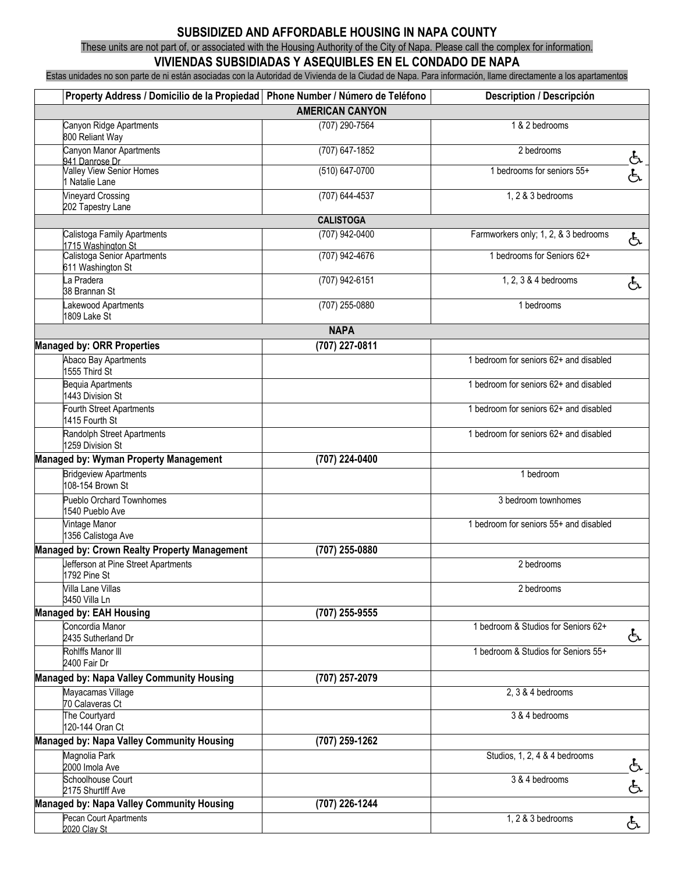## **SUBSIDIZED AND AFFORDABLE HOUSING IN NAPA COUNTY**

These units are not part of, or associated with the Housing Authority of the City of Napa. Please call the complex for information.

## **VIVIENDAS SUBSIDIADAS Y ASEQUIBLES EN EL CONDADO DE NAPA**

Estas unidades no son parte de ni están asociadas con la Autoridad de Vivienda de la Ciudad de Napa. Para información, llame directamente a los apartamentos

| Property Address / Domicilio de la Propiedad   Phone Number / Número de Teléfono |                    | Description / Descripción              |    |  |  |
|----------------------------------------------------------------------------------|--------------------|----------------------------------------|----|--|--|
| <b>AMERICAN CANYON</b>                                                           |                    |                                        |    |  |  |
| Canyon Ridge Apartments<br>800 Reliant Way                                       | (707) 290-7564     | 1 & 2 bedrooms                         |    |  |  |
| Canyon Manor Apartments<br>941 Danrose Dr                                        | $(707)$ 647-1852   | 2 bedrooms                             | යි |  |  |
| Valley View Senior Homes<br>1 Natalie Lane                                       | $(510) 647 - 0700$ | 1 bedrooms for seniors 55+             | යි |  |  |
| <b>Vineyard Crossing</b><br>202 Tapestry Lane                                    | (707) 644-4537     | 1, 2 & 3 bedrooms                      |    |  |  |
| <b>CALISTOGA</b>                                                                 |                    |                                        |    |  |  |
| Calistoga Family Apartments<br>1715 Washington St                                | (707) 942-0400     | Farmworkers only; 1, 2, & 3 bedrooms   | යි |  |  |
| Calistoga Senior Apartments<br>611 Washington St                                 | (707) 942-4676     | 1 bedrooms for Seniors 62+             |    |  |  |
| La Pradera<br>38 Brannan St                                                      | (707) 942-6151     | 1, 2, 3 & 4 bedrooms                   | දු |  |  |
| Lakewood Apartments<br>1809 Lake St                                              | (707) 255-0880     | 1 bedrooms                             |    |  |  |
| <b>NAPA</b>                                                                      |                    |                                        |    |  |  |
| <b>Managed by: ORR Properties</b>                                                | (707) 227-0811     |                                        |    |  |  |
| Abaco Bay Apartments<br>1555 Third St                                            |                    | 1 bedroom for seniors 62+ and disabled |    |  |  |
| <b>Bequia Apartments</b><br>1443 Division St                                     |                    | 1 bedroom for seniors 62+ and disabled |    |  |  |
| <b>Fourth Street Apartments</b><br>1415 Fourth St                                |                    | 1 bedroom for seniors 62+ and disabled |    |  |  |
| Randolph Street Apartments<br>1259 Division St                                   |                    | 1 bedroom for seniors 62+ and disabled |    |  |  |
| <b>Managed by: Wyman Property Management</b>                                     | (707) 224-0400     |                                        |    |  |  |
| <b>Bridgeview Apartments</b><br>108-154 Brown St                                 |                    | 1 bedroom                              |    |  |  |
| <b>Pueblo Orchard Townhomes</b><br>1540 Pueblo Ave                               |                    | 3 bedroom townhomes                    |    |  |  |
| Vintage Manor<br>1356 Calistoga Ave                                              |                    | 1 bedroom for seniors 55+ and disabled |    |  |  |
| Managed by: Crown Realty Property Management                                     | (707) 255-0880     |                                        |    |  |  |
| Jefferson at Pine Street Apartments<br>1792 Pine St                              |                    | 2 bedrooms                             |    |  |  |
| Villa Lane Villas<br>3450 Villa Ln                                               |                    | 2 bedrooms                             |    |  |  |
| <b>Managed by: EAH Housing</b>                                                   | (707) 255-9555     |                                        |    |  |  |
| Concordia Manor<br>2435 Sutherland Dr                                            |                    | 1 bedroom & Studios for Seniors 62+    | දු |  |  |
| Rohlffs Manor III<br>2400 Fair Dr                                                |                    | 1 bedroom & Studios for Seniors 55+    |    |  |  |
| <b>Managed by: Napa Valley Community Housing</b>                                 | (707) 257-2079     |                                        |    |  |  |
| Mayacamas Village<br>70 Calaveras Ct                                             |                    | 2, 3 & 4 bedrooms                      |    |  |  |
| The Courtyard<br>120-144 Oran Ct                                                 |                    | 3 & 4 bedrooms                         |    |  |  |
| Managed by: Napa Valley Community Housing                                        | (707) 259-1262     |                                        |    |  |  |
| Magnolia Park<br>2000 Imola Ave                                                  |                    | Studios, 1, 2, 4 & 4 bedrooms          | と  |  |  |
| Schoolhouse Court<br>2175 Shurtlff Ave                                           |                    | 3 & 4 bedrooms                         | යි |  |  |
| <b>Managed by: Napa Valley Community Housing</b>                                 | (707) 226-1244     |                                        |    |  |  |
| Pecan Court Apartments<br>2020 Clav St                                           |                    | 1, 2 & 3 bedrooms                      | දු |  |  |